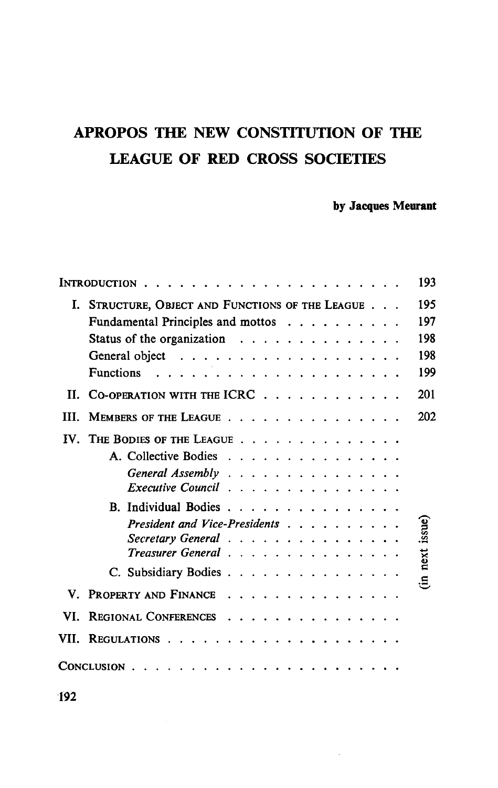# **APROPOS THE NEW CONSTITUTION OF THE LEAGUE OF RED CROSS SOCIETIES**

by Jacques Meurant

|     | <b>INTRODUCTION</b><br>$\sim$ $\sim$ $\sim$ $\sim$ $\sim$                                    | 193             |
|-----|----------------------------------------------------------------------------------------------|-----------------|
|     | I. STRUCTURE, OBJECT AND FUNCTIONS OF THE LEAGUE                                             | 195             |
|     | Fundamental Principles and mottos                                                            | 197             |
|     |                                                                                              | 198             |
|     | General object response response response response to the contract of the General Section 1. | 198             |
|     | <b>Functions</b>                                                                             | 199             |
|     | II. CO-OPERATION WITH THE ICRC                                                               | 201             |
|     | III. MEMBERS OF THE LEAGUE                                                                   | 202             |
|     | IV. THE BODIES OF THE LEAGUE                                                                 |                 |
|     | A. Collective Bodies                                                                         |                 |
|     | General Assembly                                                                             |                 |
|     | Executive Council                                                                            |                 |
|     | B. Individual Bodies                                                                         |                 |
|     | President and Vice-Presidents                                                                |                 |
|     | Secretary General                                                                            |                 |
|     | Treasurer General                                                                            |                 |
|     | C. Subsidiary Bodies                                                                         | (in next issue) |
|     | V. PROPERTY AND FINANCE                                                                      |                 |
| VI. | REGIONAL CONFERENCES                                                                         |                 |
|     | VII. REGULATIONS.<br>$\mathbf{r}$ . The state of the state $\mathbf{r}$                      |                 |
|     |                                                                                              |                 |

192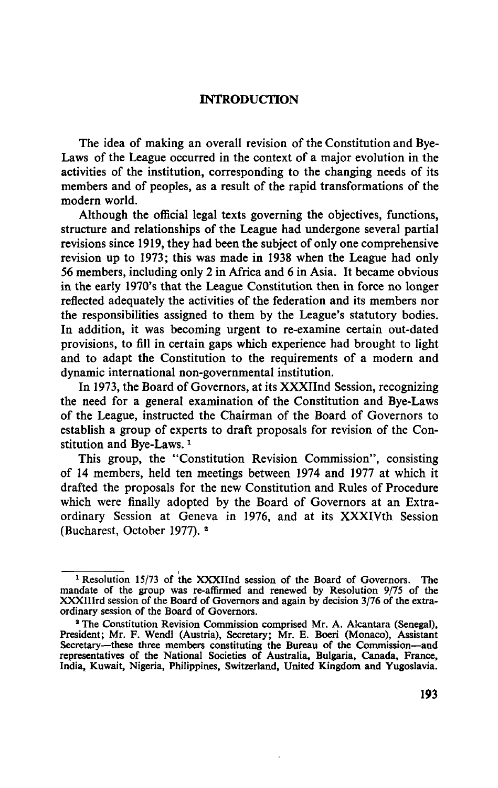#### **INTRODUCTION**

The idea of making an overall revision of the Constitution and Bye-Laws of the League occurred in the context of a major evolution in the activities of the institution, corresponding to the changing needs of its members and of peoples, as a result of the rapid transformations of the modern world.

Although the official legal texts governing the objectives, functions, structure and relationships of the League had undergone several partial revisions since 1919, they had been the subject of only one comprehensive revision up to 1973; this was made in 1938 when the League had only 56 members, including only 2 in Africa and 6 in Asia. It became obvious in the early 1970's that the League Constitution then in force no longer reflected adequately the activities of the federation and its members nor the responsibilities assigned to them by the League's statutory bodies. In addition, it was becoming urgent to re-examine certain out-dated provisions, to fill in certain gaps which experience had brought to light and to adapt the Constitution to the requirements of a modern and dynamic international non-governmental institution.

In 1973, the Board of Governors, at its XXXIInd Session, recognizing the need for a general examination of the Constitution and Bye-Laws of the League, instructed the Chairman of the Board of Governors to establish a group of experts to draft proposals for revision of the Constitution and Bve-Laws.<sup>1</sup>

This group, the "Constitution Revision Commission", consisting of 14 members, held ten meetings between 1974 and 1977 at which it drafted the proposals for the new Constitution and Rules of Procedure which were finally adopted by the Board of Governors at an Extraordinary Session at Geneva in 1976, and at its XXXIVth Session (Bucharest, October 1977).<sup>5</sup>

<sup>&</sup>lt;sup>1</sup> Resolution 15/73 of the XXXIInd session of the Board of Governors. The mandate of the group was re-affirmed and renewed by Resolution  $9/75$  of the XXXIIIrd session of the Board of Governors and again by decision  $3/7$ 

<sup>&</sup>lt;sup>2</sup> The Constitution Revision Commission comprised Mr. A. Alcantara (Senegal), President; Mr. F. Wendl (Austria), Secretary; Mr. E. Boeri (Monaco), Assistant Secretary—these three members constituting the Bureau of the Commission—and representatives of the National Societies of Australia, Bulgaria, Canada, France,<br>India, Kuwait, Nigeria, Philippines, Switzerland, United Kingdom and Yugoslavia.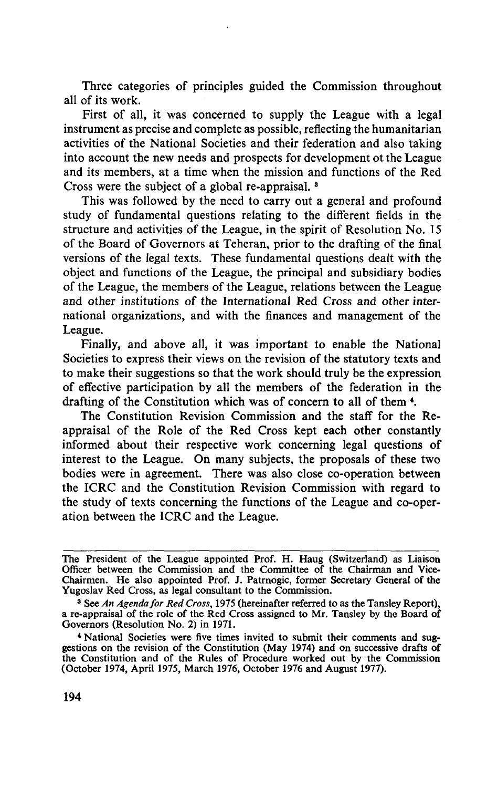Three categories of principles guided the Commission throughout all of its work.

First of all, it was concerned to supply the League with a legal instrument as precise and complete as possible, reflecting the humanitarian activities of the National Societies and their federation and also taking into account the new needs and prospects for development ot the League and its members, at a time when the mission and functions of the Red Cross were the subject of a global re-appraisal.<sup>3</sup>

This was followed by the need to carry out a general and profound study of fundamental questions relating to the different fields in the structure and activities of the League, in the spirit of Resolution No. 15 of the Board of Governors at Teheran, prior to the drafting of the final versions of the legal texts. These fundamental questions dealt with the object and functions of the League, the principal and subsidiary bodies of the League, the members of the League, relations between the League and other institutions of the International Red Cross and other international organizations, and with the finances and management of the League.

Finally, and above all, it was important to enable the National Societies to express their views on the revision of the statutory texts and to make their suggestions so that the work should truly be the expression of effective participation by all the members of the federation in the drafting of the Constitution which was of concern to all of them 4 .

The Constitution Revision Commission and the staff for the Reappraisal of the Role of the Red Cross kept each other constantly informed about their respective work concerning legal questions of interest to the League. On many subjects, the proposals of these two bodies were in agreement. There was also close co-operation between the ICRC and the Constitution Revision Commission with regard to the study of texts concerning the functions of the League and co-operation between the ICRC and the League.

The President of the League appointed Prof. H. Haug (Switzerland) as Liaison Officer between the Commission and the Committee of the Chairman and Vice-Chairmen. He also appointed Prof. J. Patrnogic, former Secretary Genera

<sup>&</sup>lt;sup>3</sup> See An Agenda for Red Cross, 1975 (hereinafter referred to as the Tansley Report), a re-appraisal of the role of the Red Cross assigned to Mr. Tansley by the Board of Governors (Resolution No. 2) in 1971.

<sup>&</sup>lt;sup>4</sup> National Societies were five times invited to submit their comments and suggestions on the revision of the Constitution (May 1974) and on successive drafts of the Constitution and of the Rules of Procedure worked out by the Commission (October 1974, April 1975, March 1976, October 1976 and August 1977).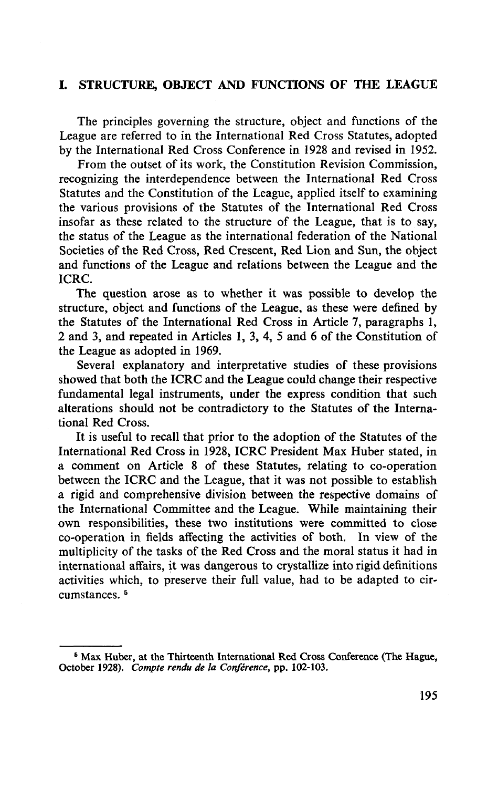#### **I. STRUCTURE, OBJECT AND FUNCTIONS OF THE LEAGUE**

The principles governing the structure, object and functions of the League are referred to in the International Red Cross Statutes, adopted by the International Red Cross Conference in 1928 and revised in 1952.

From the outset of its work, the Constitution Revision Commission, recognizing the interdependence between the International Red Cross Statutes and the Constitution of the League, applied itself to examining the various provisions of the Statutes of the International Red Cross insofar as these related to the structure of the League, that is to say, the status of the League as the international federation of the National Societies of the Red Cross, Red Crescent, Red Lion and Sun, the object and functions of the League and relations between the League and the ICRC.

The question arose as to whether it was possible to develop the structure, object and functions of the League, as these were defined by the Statutes of the International Red Cross in Article 7, paragraphs 1, 2 and 3, and repeated in Articles 1, 3, 4, 5 and 6 of the Constitution of the League as adopted in 1969.

Several explanatory and interpretative studies of these provisions showed that both the ICRC and the League could change their respective fundamental legal instruments, under the express condition that such alterations should not be contradictory to the Statutes of the International Red Cross.

It is useful to recall that prior to the adoption of the Statutes of the International Red Cross in 1928, ICRC President Max Huber stated, in a comment on Article 8 of these Statutes, relating to co-operation between the ICRC and the League, that it was not possible to establish a rigid and comprehensive division between the respective domains of the International Committee and the League. While maintaining their own responsibilities, these two institutions were committed to close co-operation in fields affecting the activities of both. In view of the multiplicity of the tasks of the Red Cross and the moral status it had in international affairs, it was dangerous to crystallize into rigid definitions activities which, to preserve their full value, had to be adapted to circumstances.<sup>5</sup>

<sup>6</sup> Max Huber, at the Thirteenth International Red Cross Conference (The Hague, October 1928). *Compte rendu de la Conference,* pp. 102-103.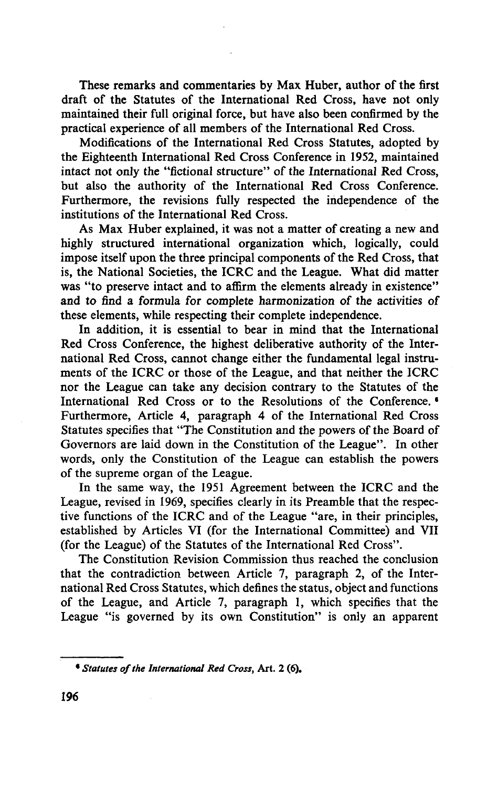These remarks and commentaries by Max Huber, author of the first draft of the Statutes of the International Red Cross, have not only maintained their full original force, but have also been confirmed by the practical experience of all members of the International Red Cross.

Modifications of the International Red Cross Statutes, adopted by the Eighteenth International Red Cross Conference in 1952, maintained intact not only the "fictional structure" of the International Red Cross, but also the authority of the International Red Cross Conference. Furthermore, the revisions fully respected the independence of the institutions of the International Red Cross.

As Max Huber explained, it was not a matter of creating a new and highly structured international organization which, logically, could impose itself upon the three principal components of the Red Cross, that is, the National Societies, the ICRC and the League. What did matter was "to preserve intact and to affirm the elements already in existence" and to find a formula for complete harmonization of the activities of these elements, while respecting their complete independence.

In addition, it is essential to bear in mind that the International Red Cross Conference, the highest deliberative authority of the International Red Cross, cannot change either the fundamental legal instruments of the ICRC or those of the League, and that neither the ICRC nor the League can take any decision contrary to the Statutes of the International Red Cross or to the Resolutions of the Conference. • Furthermore, Article 4, paragraph 4 of the International Red Cross Statutes specifies that "The Constitution and the powers of the Board of Governors are laid down in the Constitution of the League". In other words, only the Constitution of the League can establish the powers of the supreme organ of the League.

In the same way, the 1951 Agreement between the ICRC and the League, revised in 1969, specifies clearly in its Preamble that the respective functions of the ICRC and of the League "are, in their principles, established by Articles VI (for the International Committee) and VII (for the League) of the Statutes of the International Red Cross".

The Constitution Revision Commission thus reached the conclusion that the contradiction between Article 7, paragraph 2, of the International Red Cross Statutes, which defines the status, object and functions of the League, and Article 7, paragraph 1, which specifies that the League "is governed by its own Constitution" is only an apparent

**<sup>•</sup>** *Statutes of the International Red Cross,* **Art. 2 (6).**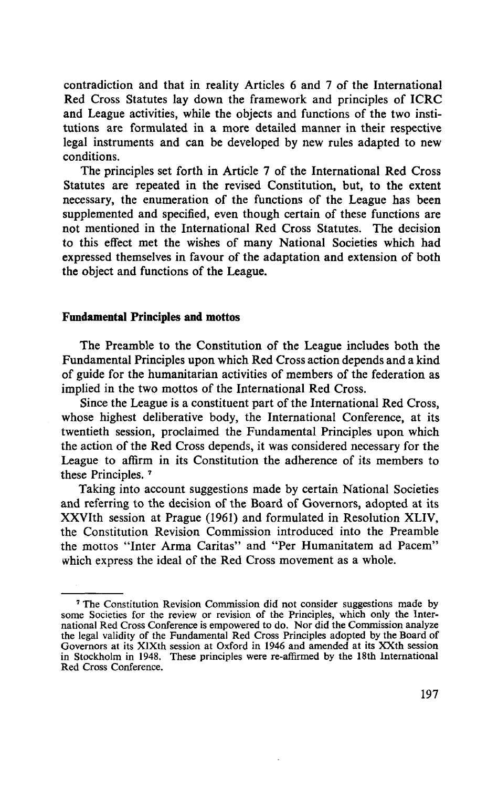contradiction and that in reality Articles 6 and 7 of the International Red Cross Statutes lay down the framework and principles of ICRC and League activities, while the objects and functions of the two institutions are formulated in a more detailed manner in their respective legal instruments and can be developed by new rules adapted to new conditions.

The principles set forth in Article 7 of the International Red Cross Statutes are repeated in the revised Constitution, but, to the extent necessary, the enumeration of the functions of the League has been supplemented and specified, even though certain of these functions are not mentioned in the International Red Cross Statutes. The decision to this effect met the wishes of many National Societies which had expressed themselves in favour of the adaptation and extension of both the object and functions of the League.

#### **Fundamental Principles and mottos**

The Preamble to the Constitution of the League includes both the Fundamental Principles upon which Red Cross action depends and a kind of guide for the humanitarian activities of members of the federation as implied in the two mottos of the International Red Cross.

Since the League is a constituent part of the International Red Cross, whose highest deliberative body, the International Conference, at its twentieth session, proclaimed the Fundamental Principles upon which the action of the Red Cross depends, it was considered necessary for the League to affirm in its Constitution the adherence of its members to these Principles.<sup>3</sup>

Taking into account suggestions made by certain National Societies and referring to the decision of the Board of Governors, adopted at its XXVIth session at Prague (1961) and formulated in Resolution XLIV, the Constitution Revision Commission introduced into the Preamble the mottos "Inter Arma Caritas" and "Per Humanitatem ad Pacem" which express the ideal of the Red Cross movement as a whole.

<sup>&</sup>lt;sup>7</sup> The Constitution Revision Commission did not consider suggestions made by some Societies for the review or revision of the Principles, which only the International Red Cross Conference is empowered to do. Nor did the Commission analyze the legal validity of the Fundamental Red Cross Principles a in Stockholm in 1948. These principles were re-affirmed by the 18th International Red Cross Conference.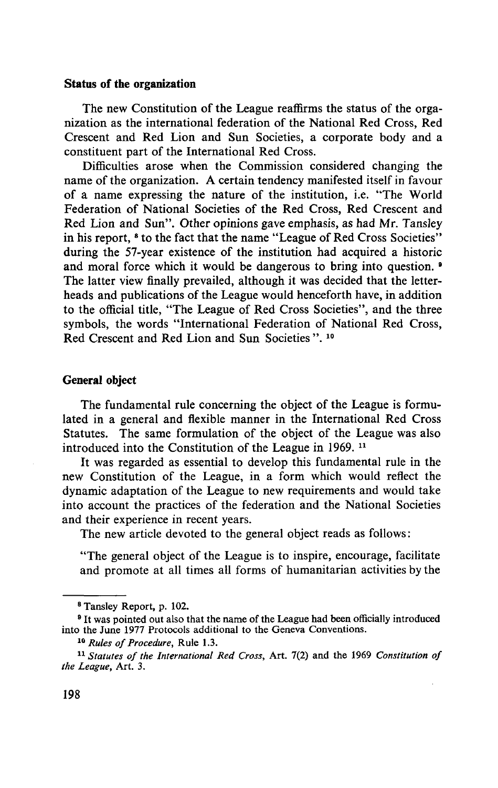#### **Status of the organization**

The new Constitution of the League reaffirms the status of the organization as the international federation of the National Red Cross, Red Crescent and Red Lion and Sun Societies, a corporate body and a constituent part of the International Red Cross.

Difficulties arose when the Commission considered changing the name of the organization. A certain tendency manifested itself in favour of a name expressing the nature of the institution, i.e. "The World Federation of National Societies of the Red Cross, Red Crescent and Red Lion and Sun". Other opinions gave emphasis, as had Mr. Tansley in his report, <sup>8</sup> to the fact that the name "League of Red Cross Societies" during the 57-year existence of the institution had acquired a historic and moral force which it would be dangerous to bring into question. • The latter view finally prevailed, although it was decided that the letterheads and publications of the League would henceforth have, in addition to the official title, "The League of Red Cross Societies", and the three symbols, the words "International Federation of National Red Cross, Red Crescent and Red Lion and Sun Societies". <sup>10</sup>

#### **General object**

The fundamental rule concerning the object of the League is formulated in a general and flexible manner in the International Red Cross Statutes. The same formulation of the object of the League was also introduced into the Constitution of the League in 1969.<sup>11</sup>

It was regarded as essential to develop this fundamental rule in the new Constitution of the League, in a form which would reflect the dynamic adaptation of the League to new requirements and would take into account the practices of the federation and the National Societies and their experience in recent years.

The new article devoted to the general object reads as follows:

"The general object of the League is to inspire, encourage, facilitate and promote at all times all forms of humanitarian activities by the

<sup>8</sup> Tansley Report, p. 102.

<sup>&</sup>lt;sup>9</sup> It was pointed out also that the name of the League had been officially introduced into the June 1977 Protocols additional to the Geneva Conventions.

<sup>&</sup>lt;sup>10</sup> *Rules of Procedure*, Rule 1.3.<br><sup>11</sup> Statutes of the International 1

*Statutes of the International Red Cross,* Art. 7(2) and the 1969 *Constitution of the League,* Art. 3.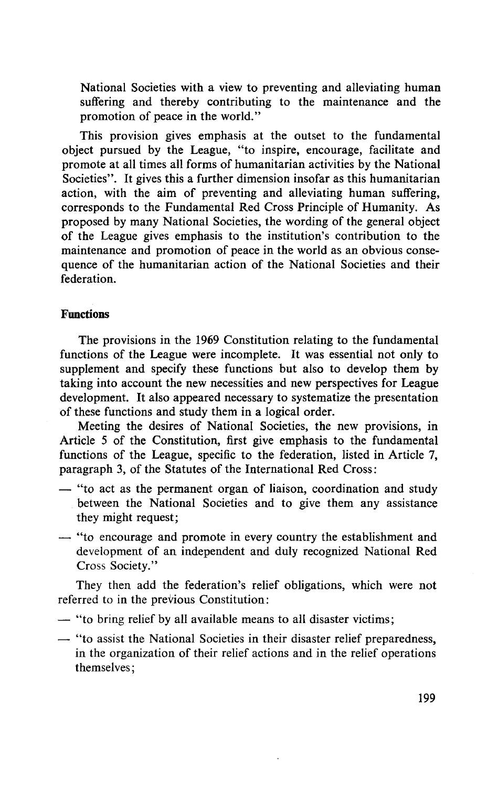National Societies with a view to preventing and alleviating human suffering and thereby contributing to the maintenance and the promotion of peace in the world."

This provision gives emphasis at the outset to the fundamental object pursued by the League, "to inspire, encourage, facilitate and promote at all times all forms of humanitarian activities by the National Societies". It gives this a further dimension insofar as this humanitarian action, with the aim of preventing and alleviating human suffering, corresponds to the Fundamental Red Cross Principle of Humanity. As proposed by many National Societies, the wording of the general object of the League gives emphasis to the institution's contribution to the maintenance and promotion of peace in the world as an obvious consequence of the humanitarian action of the National Societies and their federation.

## **Functions**

The provisions in the 1969 Constitution relating to the fundamental functions of the League were incomplete. It was essential not only to supplement and specify these functions but also to develop them by taking into account the new necessities and new perspectives for League development. It also appeared necessary to systematize the presentation of these functions and study them in a logical order.

Meeting the desires of National Societies, the new provisions, in Article 5 of the Constitution, first give emphasis to the fundamental functions of the League, specific to the federation, listed in Article 7, paragraph 3, of the Statutes of the International Red Cross:

- "to act as the permanent organ of liaison, coordination and study between the National Societies and to give them any assistance they might request;
- "to encourage and promote in every country the establishment and development of an independent and duly recognized National Red Cross Society."

They then add the federation's relief obligations, which were not referred to in the previous Constitution:

- "to bring relief by all available means to all disaster victims;
- "to assist the National Societies in their disaster relief preparedness, in the organization of their relief actions and in the relief operations themselves;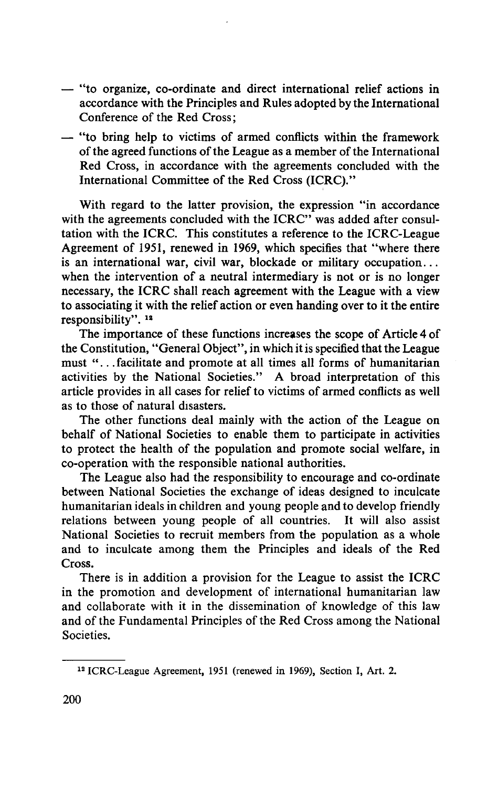- "to organize, co-ordinate and direct international relief actions in accordance with the Principles and Rules adopted by the International Conference of the Red Cross;
- "to bring help to victims of armed conflicts within the framework of the agreed functions of the League as a member of the International Red Cross, in accordance with the agreements concluded with the International Committee of the Red Cross (ICRC)."

With regard to the latter provision, the expression "in accordance with the agreements concluded with the ICRC" was added after consultation with the ICRC. This constitutes a reference to the ICRC-League Agreement of 1951, renewed in 1969, which specifies that "where there is an international war, civil war, blockade or military occupation... when the intervention of a neutral intermediary is not or is no longer necessary, the ICRC shall reach agreement with the League with a view to associating it with the relief action or even handing over to it the entire responsibility".<sup>12</sup>

The importance of these functions increases the scope of Article 4 of the Constitution, "General Object", in which it is specified that the League must ".. . facilitate and promote at all times all forms of humanitarian activities by the National Societies." A broad interpretation of this article provides in all cases for relief to victims of armed conflicts as well as to those of natural disasters.

The other functions deal mainly with the action of the League on behalf of National Societies to enable them to participate in activities to protect the health of the population and promote social welfare, in co-operation with the responsible national authorities.

The League also had the responsibility to encourage and co-ordinate between National Societies the exchange of ideas designed to inculcate humanitarian ideals in children and young people and to develop friendly relations between young people of all countries. It will also assist National Societies to recruit members from the population as a whole and to inculcate among them the Principles and ideals of the Red Cross.

There is in addition a provision for the League to assist the ICRC in the promotion and development of international humanitarian law and collaborate with it in the dissemination of knowledge of this law and of the Fundamental Principles of the Red Cross among the National Societies.

<sup>12</sup> ICRC-League Agreement, 1951 (renewed in 1969), Section I, Art. 2.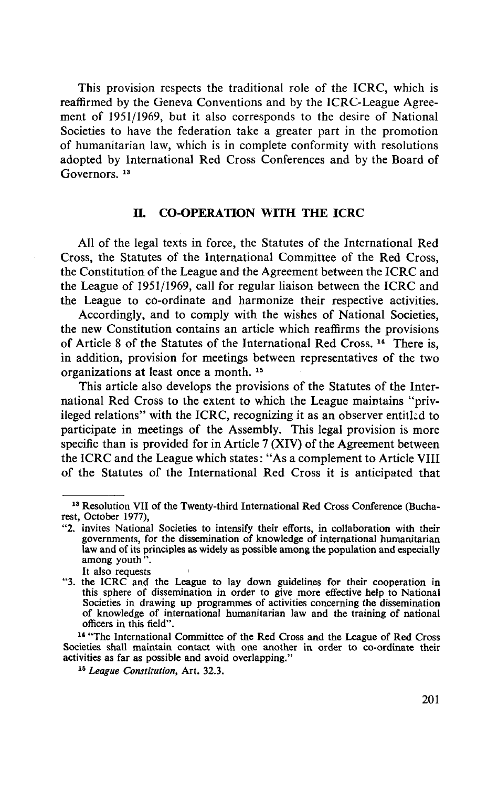This provision respects the traditional role of the ICRC, which is reaffirmed by the Geneva Conventions and by the ICRC-League Agreement of 1951/1969, but it also corresponds to the desire of National Societies to have the federation take a greater part in the promotion of humanitarian law, which is in complete conformity with resolutions adopted by International Red Cross Conferences and by the Board of Governors.<sup>13</sup>

### **H. CO-OPERATION WITH THE ICRC**

All of the legal texts in force, the Statutes of the International Red Cross, the Statutes of the International Committee of the Red Cross, the Constitution of the League and the Agreement between the ICRC and the League of 1951/1969, call for regular liaison between the ICRC and the League to co-ordinate and harmonize their respective activities.

Accordingly, and to comply with the wishes of National Societies, the new Constitution contains an article which reaffirms the provisions of Article 8 of the Statutes of the International Red Cross.<sup>14</sup> There is in addition, provision for meetings between representatives of the two organizations at least once a month.<sup>15</sup>

This article also develops the provisions of the Statutes of the International Red Cross to the extent to which the League maintains "privileged relations" with the ICRC, recognizing it as an observer entitled to participate in meetings of the Assembly. This legal provision is more specific than is provided for in Article 7 (XIV) of the Agreement between the ICRC and the League which states: "As a complement to Article VIII of the Statutes of the International Red Cross it is anticipated that

<sup>14</sup> "The International Committee of the Red Cross and the League of Red Cross Societies shall maintain contact with one another in order to co-ordinate their activities as far as possible and avoid overlapping."

<sup>&</sup>lt;sup>13</sup> Resolution VII of the Twenty-third International Red Cross Conference (Bucha-rest, October 1977),

<sup>&</sup>quot;2. invites National Societies to intensify their efforts, in collaboration with their governments, for the dissemination of knowledge of international humanitarian law and of its principles as widely as possible among the

<sup>&</sup>quot;3. the ICRC and the League to lay down guidelines for their cooperation in this sphere of dissemination in order to give more effective help to National Societies in drawing up programmes of activities concerning the diss of knowledge of international humanitarian law and the training of national officers in this field".

*League Constitution,* Art. 32.3.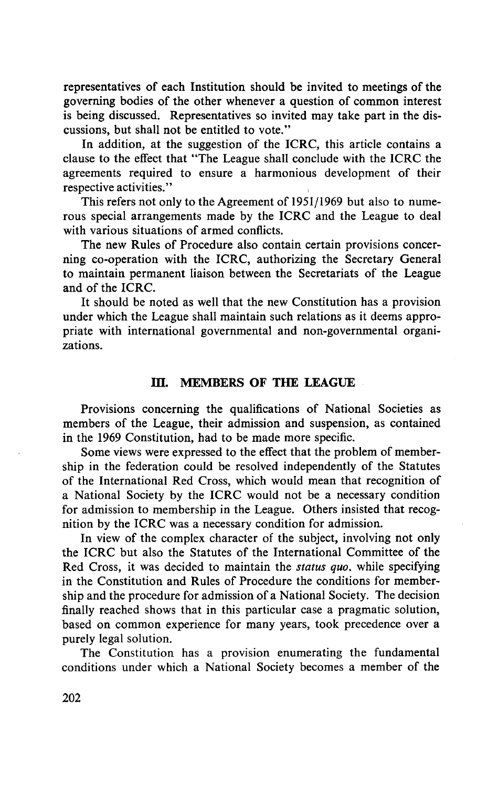representatives of each Institution should be invited to meetings of the governing bodies of the other whenever a question of common interest is being discussed. Representatives so invited may take part in the discussions, but shall not be entitled to vote."

In addition, at the suggestion of the ICRC, this article contains a clause to the effect that "The League shall conclude with the ICRC the agreements required to ensure a harmonious development of their respective activities."

This refers not only to the Agreement of 1951/1969 but also to numerous special arrangements made by the ICRC and the League to deal with various situations of armed conflicts.

The new Rules of Procedure also contain certain provisions concerning co-operation with the ICRC, authorizing the Secretary General to maintain permanent liaison between the Secretariats of the League and of the ICRC.

It should be noted as well that the new Constitution has a provision under which the League shall maintain such relations as it deems appropriate with international governmental and non-governmental organizations.

## **in. MEMBERS OF THE LEAGUE**

Provisions concerning the qualifications of National Societies as members of the League, their admission and suspension, as contained in the 1969 Constitution, had to be made more specific.

Some views were expressed to the effect that the problem of membership in the federation could be resolved independently of the Statutes of the International Red Cross, which would mean that recognition of a National Society by the ICRC would not be a necessary condition for admission to membership in the League. Others insisted that recognition by the ICRC was a necessary condition for admission.

In view of the complex character of the subject, involving not only the ICRC but also the Statutes of the International Committee of the Red Cross, it was decided to maintain the *status quo.* while specifying in the Constitution and Rules of Procedure the conditions for membership and the procedure for admission of a National Society. The decision finally reached shows that in this particular case a pragmatic solution, based on common experience for many years, took precedence over a purely legal solution.

The Constitution has a provision enumerating the fundamental conditions under which a National Society becomes a member of the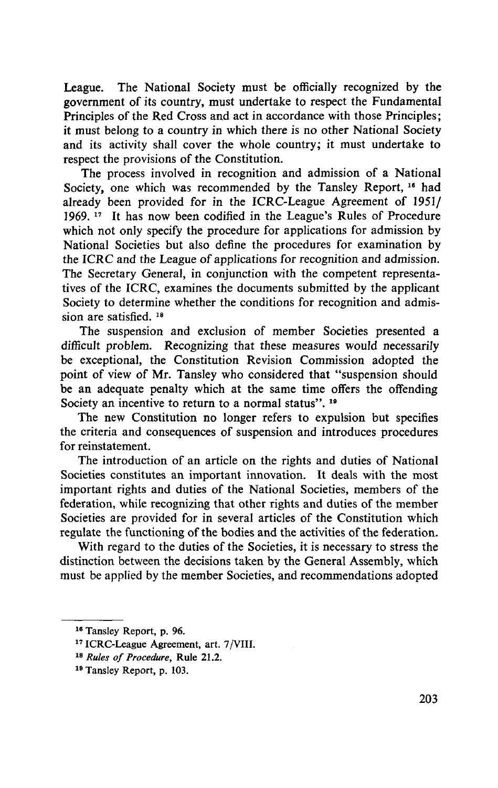League. The National Society must be officially recognized by the government of its country, must undertake to respect the Fundamental Principles of the Red Cross and act in accordance with those Principles; it must belong to a country in which there is no other National Society and its activity shall cover the whole country; it must undertake to respect the provisions of the Constitution.

The process involved in recognition and admission of a National Society, one which was recommended by the Tansley Report, <sup>16</sup> had already been provided for in the ICRC-League Agreement of 1951/ 1969.<sup>17</sup> It has now been codified in the League's Rules of Procedure which not only specify the procedure for applications for admission by National Societies but also define the procedures for examination by the ICRC and the League of applications for recognition and admission. The Secretary General, in conjunction with the competent representatives of the ICRC, examines the documents submitted by the applicant Society to determine whether the conditions for recognition and admission are satisfied.<sup>18</sup>

The suspension and exclusion of member Societies presented a difficult problem. Recognizing that these measures would necessarily be exceptional, the Constitution Revision Commission adopted the point of view of Mr. Tansley who considered that "suspension should be an adequate penalty which at the same time offers the offending Society an incentive to return to a normal status". <sup>18</sup>

The new Constitution no longer refers to expulsion but specifies the criteria and consequences of suspension and introduces procedures for reinstatement.

The introduction of an article on the rights and duties of National Societies constitutes an important innovation. It deals with the most important rights and duties of the National Societies, members of the federation, while recognizing that other rights and duties of the member Societies are provided for in several articles of the Constitution which regulate the functioning of the bodies and the activities of the federation.

With regard to the duties of the Societies, it is necessary to stress the distinction between the decisions taken by the General Assembly, which must be applied by the member Societies, and recommendations adopted

<sup>&</sup>lt;sup>16</sup> Tansley Report, p. 96.

<sup>17</sup> ICRC-League Agreement, art. 7/VIII.

<sup>&</sup>lt;sup>18</sup> *Rules of Procedure*, Rule 21.2.<br><sup>19 Tonelay Penert n. 102</sup>

<sup>&</sup>lt;sup>19</sup> Tansley Report, p. 103.